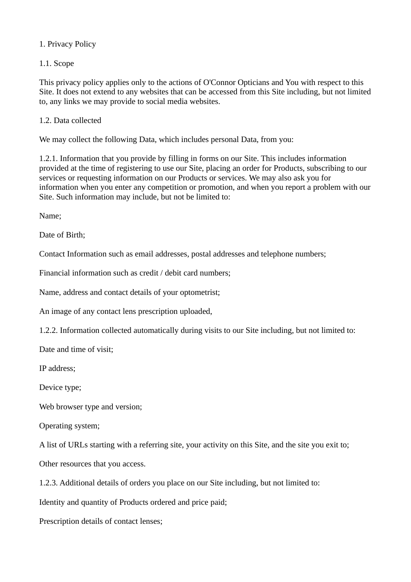## 1. Privacy Policy

1.1. Scope

This privacy policy applies only to the actions of O'Connor Opticians and You with respect to this Site. It does not extend to any websites that can be accessed from this Site including, but not limited to, any links we may provide to social media websites.

1.2. Data collected

We may collect the following Data, which includes personal Data, from you:

1.2.1. Information that you provide by filling in forms on our Site. This includes information provided at the time of registering to use our Site, placing an order for Products, subscribing to our services or requesting information on our Products or services. We may also ask you for information when you enter any competition or promotion, and when you report a problem with our Site. Such information may include, but not be limited to:

Name;

Date of Birth;

Contact Information such as email addresses, postal addresses and telephone numbers;

Financial information such as credit / debit card numbers;

Name, address and contact details of your optometrist;

An image of any contact lens prescription uploaded,

1.2.2. Information collected automatically during visits to our Site including, but not limited to:

Date and time of visit;

IP address;

Device type;

Web browser type and version;

Operating system;

A list of URLs starting with a referring site, your activity on this Site, and the site you exit to;

Other resources that you access.

1.2.3. Additional details of orders you place on our Site including, but not limited to:

Identity and quantity of Products ordered and price paid;

Prescription details of contact lenses;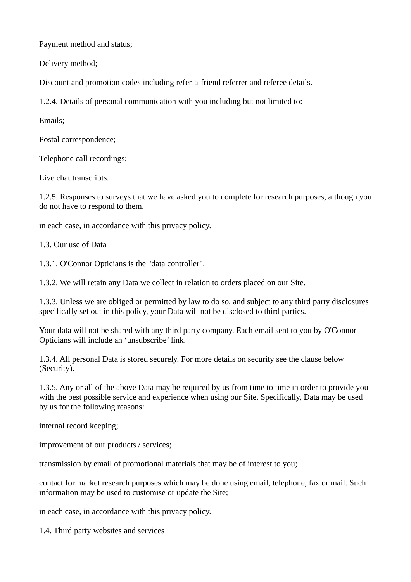Payment method and status;

Delivery method;

Discount and promotion codes including refer-a-friend referrer and referee details.

1.2.4. Details of personal communication with you including but not limited to:

Emails;

Postal correspondence;

Telephone call recordings;

Live chat transcripts.

1.2.5. Responses to surveys that we have asked you to complete for research purposes, although you do not have to respond to them.

in each case, in accordance with this privacy policy.

1.3. Our use of Data

1.3.1. O'Connor Opticians is the "data controller".

1.3.2. We will retain any Data we collect in relation to orders placed on our Site.

1.3.3. Unless we are obliged or permitted by law to do so, and subject to any third party disclosures specifically set out in this policy, your Data will not be disclosed to third parties.

Your data will not be shared with any third party company. Each email sent to you by O'Connor Opticians will include an 'unsubscribe' link.

1.3.4. All personal Data is stored securely. For more details on security see the clause below (Security).

1.3.5. Any or all of the above Data may be required by us from time to time in order to provide you with the best possible service and experience when using our Site. Specifically, Data may be used by us for the following reasons:

internal record keeping;

improvement of our products / services;

transmission by email of promotional materials that may be of interest to you;

contact for market research purposes which may be done using email, telephone, fax or mail. Such information may be used to customise or update the Site;

in each case, in accordance with this privacy policy.

1.4. Third party websites and services